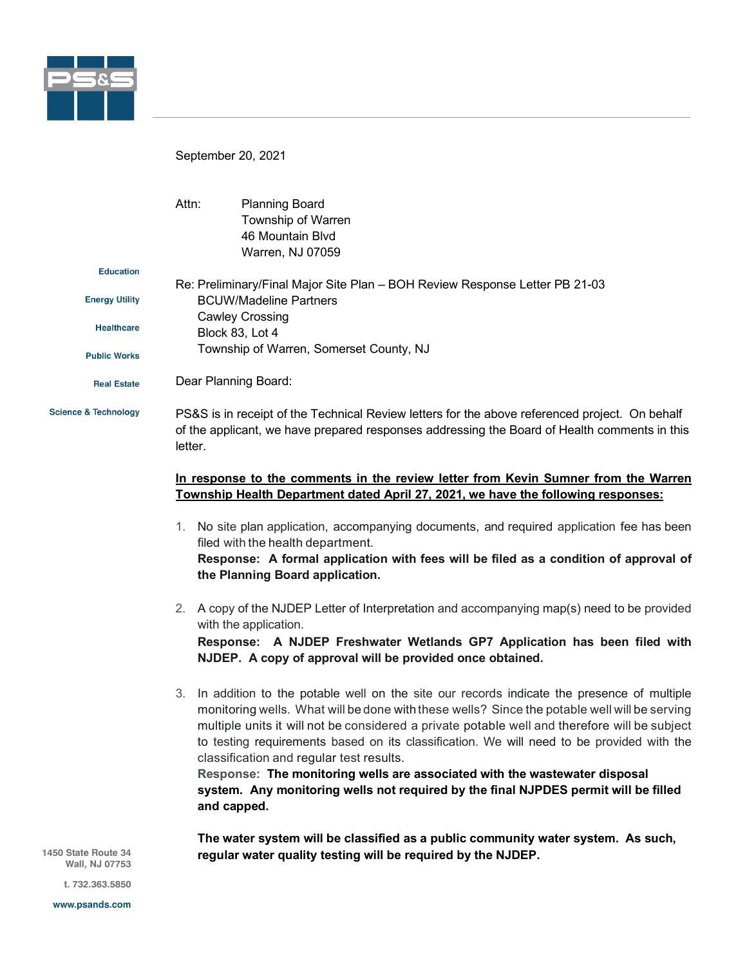

September 20, 2021

|                                 | Attn:                                                                                                        | <b>Planning Board</b><br>Township of Warren<br>46 Mountain Blvd<br>Warren, NJ 07059                                                                                                            |
|---------------------------------|--------------------------------------------------------------------------------------------------------------|------------------------------------------------------------------------------------------------------------------------------------------------------------------------------------------------|
| <b>Education</b>                |                                                                                                              |                                                                                                                                                                                                |
| <b>Energy Utility</b>           | Re: Preliminary/Final Major Site Plan - BOH Review Response Letter PB 21-03<br><b>BCUW/Madeline Partners</b> |                                                                                                                                                                                                |
| <b>Healthcare</b>               | <b>Cawley Crossing</b><br>Block 83, Lot 4                                                                    |                                                                                                                                                                                                |
| <b>Public Works</b>             | Township of Warren, Somerset County, NJ                                                                      |                                                                                                                                                                                                |
| <b>Real Estate</b>              |                                                                                                              | Dear Planning Board:                                                                                                                                                                           |
| <b>Science &amp; Technology</b> | letter.                                                                                                      | PS&S is in receipt of the Technical Review letters for the above referenced project. On behalf<br>of the applicant, we have prepared responses addressing the Board of Health comments in this |
|                                 |                                                                                                              | In response to the comments in the review letter from Kevin Sumner from the Warren<br>Township Health Department dated April 27, 2021, we have the following responses:                        |

- 1. No site plan application, accompanying documents, and required application fee has been filed with the health department. **Response: A formal application with fees will be filed as a condition of approval of the Planning Board application.**
- 2. A copy of the NJDEP Letter of Interpretation and accompanying map(s) need to be provided with the application.

**Response: A NJDEP Freshwater Wetlands GP7 Application has been filed with NJDEP. A copy of approval will be provided once obtained.**

3. In addition to the potable well on the site our records indicate the presence of multiple monitoring wells. What will be done withthese wells? Since the potable well will be serving multiple units it will not be considered a private potable well and therefore will be subject to testing requirements based on its classification. We will need to be provided with the classification and regular test results.

**Response: The monitoring wells are associated with the wastewater disposal system. Any monitoring wells not required by the final NJPDES permit will be filled and capped.** 

**The water system will be classified as a public community water system. As such, regular water quality testing will be required by the NJDEP.**

1450 State Route 34 Wall, NJ 07753

t. 732.363.5850

www.psands.com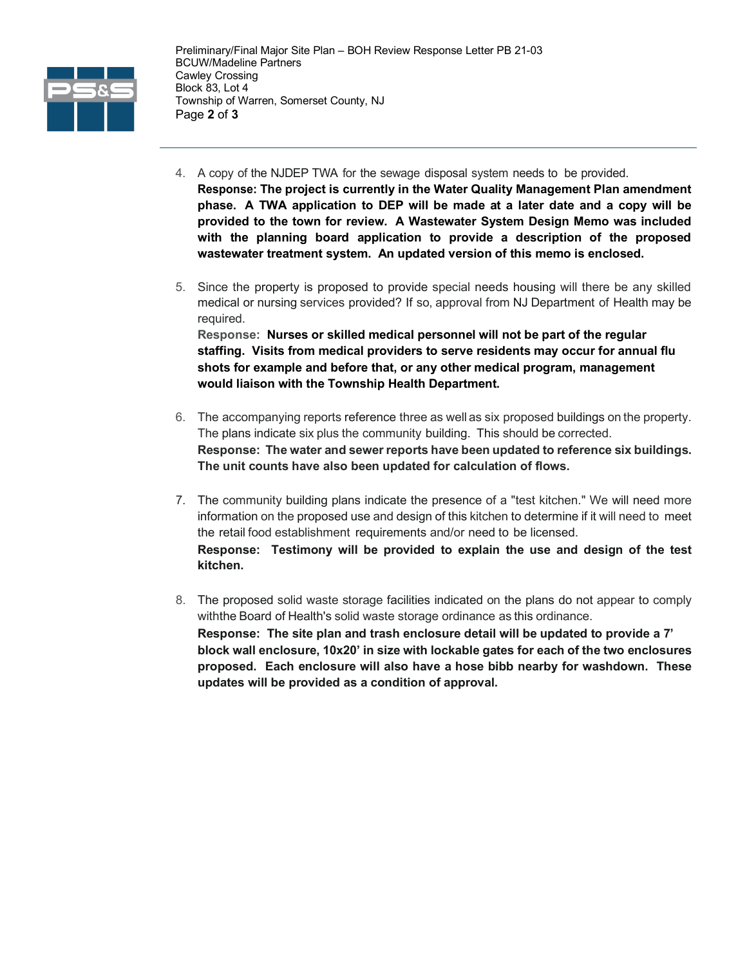

- 4. A copy of the NJDEP TWA for the sewage disposal system needs to be provided. **Response: The project is currently in the Water Quality Management Plan amendment phase. A TWA application to DEP will be made at a later date and a copy will be provided to the town for review. A Wastewater System Design Memo was included with the planning board application to provide a description of the proposed wastewater treatment system. An updated version of this memo is enclosed.**
- 5. Since the property is proposed to provide special needs housing will there be any skilled medical or nursing services provided? If so, approval from NJ Department of Health may be required. **Response: Nurses or skilled medical personnel will not be part of the regular staffing. Visits from medical providers to serve residents may occur for annual flu**

**shots for example and before that, or any other medical program, management would liaison with the Township Health Department.** 

- 6. The accompanying reports reference three as well as six proposed buildings on the property. The plans indicate six plus the community building. This should be corrected. **Response: The water and sewer reports have been updated to reference six buildings. The unit counts have also been updated for calculation of flows.**
- 7. The community building plans indicate the presence of a "test kitchen." We will need more information on the proposed use and design of this kitchen to determine if it will need to meet the retail food establishment requirements and/or need to be licensed. **Response: Testimony will be provided to explain the use and design of the test kitchen.**
- 8. The proposed solid waste storage facilities indicated on the plans do not appear to comply withthe Board of Health's solid waste storage ordinance as this ordinance. **Response: The site plan and trash enclosure detail will be updated to provide a 7' block wall enclosure, 10x20' in size with lockable gates for each of the two enclosures proposed. Each enclosure will also have a hose bibb nearby for washdown. These updates will be provided as a condition of approval.**